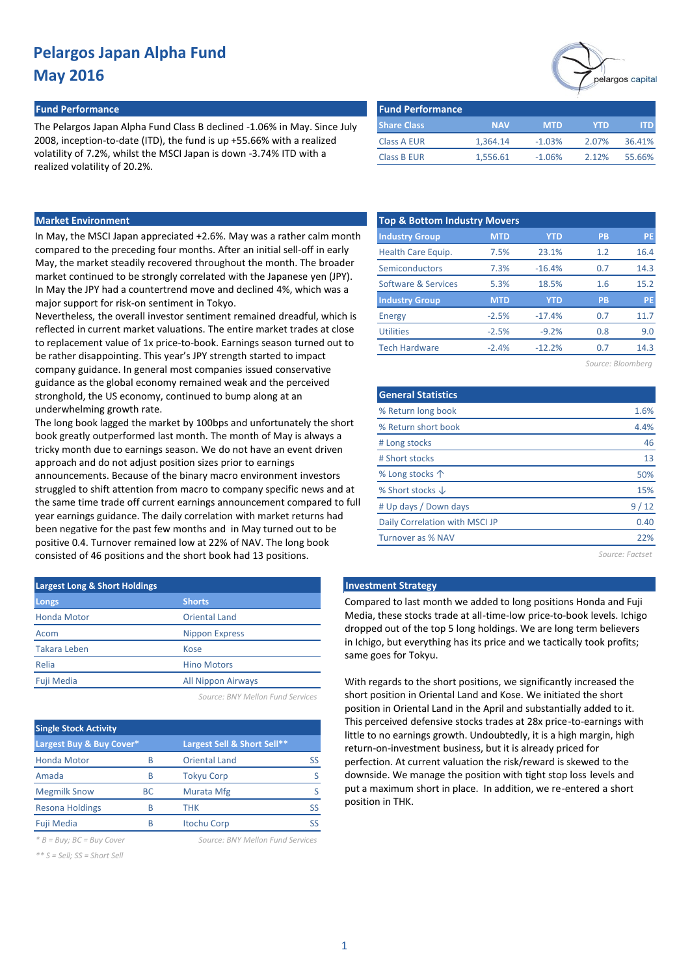#### **Fund Performance Fund Performance**

The Pelargos Japan Alpha Fund Class B declined -1.06% in May. Since July 2008, inception-to-date (ITD), the fund is up +55.66% with a realized volatility of 7.2%, whilst the MSCI Japan is down -3.74% ITD with a realized volatility of 20.2%.

|  | pelargos capital |  |
|--|------------------|--|
|  |                  |  |

| <b>Fund Performance</b> |            |            |       |        |
|-------------------------|------------|------------|-------|--------|
| <b>Share Class</b>      | <b>NAV</b> | <b>MTD</b> | YTD   | ITD    |
| Class A EUR             | 1.364.14   | $-1.03%$   | 2.07% | 36.41% |
| <b>Class B EUR</b>      | 1.556.61   | $-1.06%$   | 212%  | 55.66% |

#### **Market Environment**

In May, the MSCI Japan appreciated +2.6%. May was a rather calm month compared to the preceding four months. After an initial sell-off in early May, the market steadily recovered throughout the month. The broader market continued to be strongly correlated with the Japanese yen (JPY). In May the JPY had a countertrend move and declined 4%, which was a major support for risk-on sentiment in Tokyo.

Nevertheless, the overall investor sentiment remained dreadful, which is reflected in current market valuations. The entire market trades at close to replacement value of 1x price-to-book. Earnings season turned out to be rather disappointing. This year's JPY strength started to impact company guidance. In general most companies issued conservative guidance as the global economy remained weak and the perceived stronghold, the US economy, continued to bump along at an underwhelming growth rate.

The long book lagged the market by 100bps and unfortunately the short book greatly outperformed last month. The month of May is always a tricky month due to earnings season. We do not have an event driven approach and do not adjust position sizes prior to earnings announcements. Because of the binary macro environment investors struggled to shift attention from macro to company specific news and at the same time trade off current earnings announcement compared to full year earnings guidance. The daily correlation with market returns had been negative for the past few months and in May turned out to be positive 0.4. Turnover remained low at 22% of NAV. The long book consisted of 46 positions and the short book had 13 positions.

| <b>Largest Long &amp; Short Holdings</b> |                           |  |  |  |  |  |  |  |
|------------------------------------------|---------------------------|--|--|--|--|--|--|--|
| Longs                                    | <b>Shorts</b>             |  |  |  |  |  |  |  |
| <b>Honda Motor</b>                       | <b>Oriental Land</b>      |  |  |  |  |  |  |  |
| Acom                                     | <b>Nippon Express</b>     |  |  |  |  |  |  |  |
| <b>Takara Leben</b>                      | Kose                      |  |  |  |  |  |  |  |
| Relia                                    | <b>Hino Motors</b>        |  |  |  |  |  |  |  |
| Fuji Media                               | <b>All Nippon Airways</b> |  |  |  |  |  |  |  |
|                                          |                           |  |  |  |  |  |  |  |

*Source: BNY Mellon Fund Services*

| <b>Single Stock Activity</b> |           |                             |    |  |  |  |  |  |  |  |  |
|------------------------------|-----------|-----------------------------|----|--|--|--|--|--|--|--|--|
| Largest Buy & Buy Cover*     |           | Largest Sell & Short Sell** |    |  |  |  |  |  |  |  |  |
| <b>Honda Motor</b>           | B         | <b>Oriental Land</b>        | SS |  |  |  |  |  |  |  |  |
| Amada                        | В         | <b>Tokyu Corp</b>           |    |  |  |  |  |  |  |  |  |
| <b>Megmilk Snow</b>          | <b>BC</b> | <b>Murata Mfg</b>           |    |  |  |  |  |  |  |  |  |
| <b>Resona Holdings</b>       | R         | <b>THK</b>                  | SS |  |  |  |  |  |  |  |  |
| Fuji Media                   | В         | <b>Itochu Corp</b>          | SS |  |  |  |  |  |  |  |  |

*\* B = Buy; BC = Buy Cover Source: BNY Mellon Fund Services*

*\*\* S = Sell; SS = Short Sell*

| <b>Top &amp; Bottom Industry Movers</b> |            |            |           |      |  |  |  |  |  |  |
|-----------------------------------------|------------|------------|-----------|------|--|--|--|--|--|--|
| <b>Industry Group</b>                   | <b>MTD</b> | <b>YTD</b> | PB        | PE   |  |  |  |  |  |  |
| Health Care Equip.                      | 7.5%       | 23.1%      | 1.2       | 16.4 |  |  |  |  |  |  |
| Semiconductors                          | 7.3%       | $-16.4%$   | 0.7       | 14.3 |  |  |  |  |  |  |
| Software & Services                     | 5.3%       | 18.5%      | 1.6       | 15.2 |  |  |  |  |  |  |
| <b>Industry Group</b>                   | <b>MTD</b> | <b>YTD</b> | <b>PB</b> | PE   |  |  |  |  |  |  |
| Energy                                  | $-2.5%$    | $-17.4%$   | 0.7       | 11.7 |  |  |  |  |  |  |
| <b>Utilities</b>                        | $-2.5%$    | $-9.2%$    | 0.8       | 9.0  |  |  |  |  |  |  |
| <b>Tech Hardware</b>                    | $-2.4%$    | $-12.2%$   | 0.7       | 14.3 |  |  |  |  |  |  |
|                                         |            |            |           |      |  |  |  |  |  |  |

| Source: Bloomberg |  |  |  |
|-------------------|--|--|--|
|                   |  |  |  |

| <b>General Statistics</b>      |      |
|--------------------------------|------|
| % Return long book             | 1.6% |
| % Return short book            | 4.4% |
| # Long stocks                  | 46   |
| # Short stocks                 | 13   |
| % Long stocks $\uparrow$       | 50%  |
| % Short stocks $\downarrow$    | 15%  |
| # Up days / Down days          | 9/12 |
| Daily Correlation with MSCI JP | 0.40 |
| Turnover as % NAV              | 22%  |
|                                |      |

*Source: Factset*

#### **Investment Strategy**

Compared to last month we added to long positions Honda and Fuji Media, these stocks trade at all-time-low price-to-book levels. Ichigo dropped out of the top 5 long holdings. We are long term believers in Ichigo, but everything has its price and we tactically took profits; same goes for Tokyu.

With regards to the short positions, we significantly increased the short position in Oriental Land and Kose. We initiated the short position in Oriental Land in the April and substantially added to it. This perceived defensive stocks trades at 28x price-to-earnings with little to no earnings growth. Undoubtedly, it is a high margin, high return-on-investment business, but it is already priced for perfection. At current valuation the risk/reward is skewed to the downside. We manage the position with tight stop loss levels and put a maximum short in place. In addition, we re-entered a short position in THK.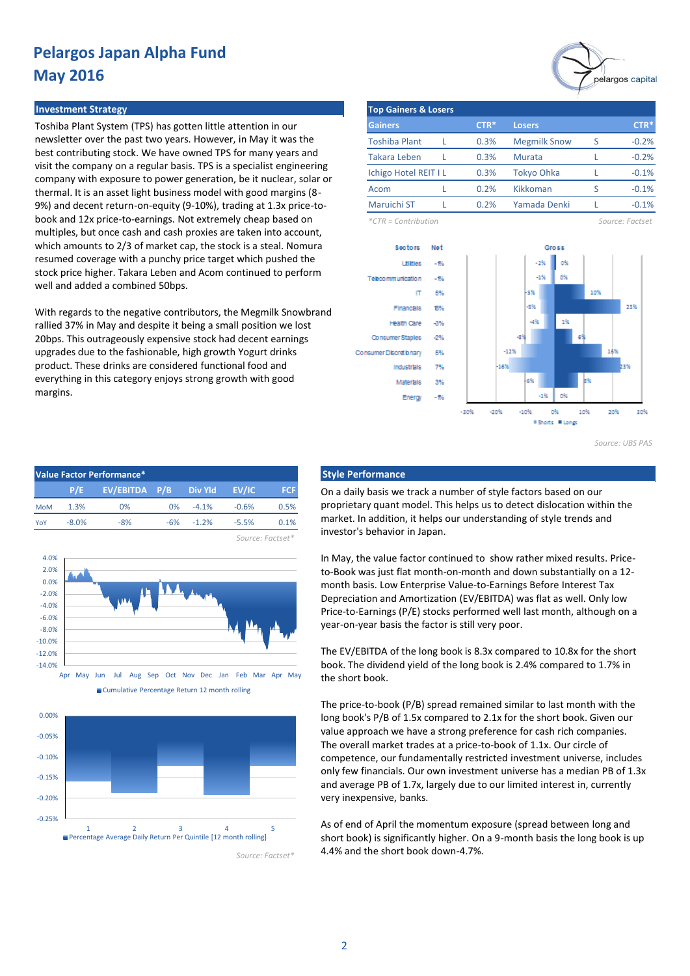#### **Investment Strategy**

Toshiba Plant System (TPS) has gotten little attention in our newsletter over the past two years. However, in May it was the best contributing stock. We have owned TPS for many years and visit the company on a regular basis. TPS is a specialist engineering company with exposure to power generation, be it nuclear, solar or thermal. It is an asset light business model with good margins (8- 9%) and decent return-on-equity (9-10%), trading at 1.3x price-tobook and 12x price-to-earnings. Not extremely cheap based on multiples, but once cash and cash proxies are taken into account, which amounts to 2/3 of market cap, the stock is a steal. Nomura resumed coverage with a punchy price target which pushed the stock price higher. Takara Leben and Acom continued to perform well and added a combined 50bps.

With regards to the negative contributors, the Megmilk Snowbrand rallied 37% in May and despite it being a small position we lost 20bps. This outrageously expensive stock had decent earnings upgrades due to the fashionable, high growth Yogurt drinks product. These drinks are considered functional food and everything in this category enjoys strong growth with good margins.

| Value Factor Performance* |          |                           |       |               |                  |            |  |  |  |  |  |
|---------------------------|----------|---------------------------|-------|---------------|------------------|------------|--|--|--|--|--|
|                           |          | P/E EV/EBITDA P/B Div Yld |       |               | <b>EV/IC</b>     | <b>FCF</b> |  |  |  |  |  |
| <b>MoM</b>                | 1.3%     | $0\%$                     | $0\%$ | $-4.1\%$      | $-0.6%$          | 0.5%       |  |  |  |  |  |
| YoY                       | $-8.0\%$ | $-8%$                     |       | $-6\% -1.2\%$ | $-5.5%$          | 0.1%       |  |  |  |  |  |
|                           |          |                           |       |               | Source: Factset* |            |  |  |  |  |  |



Cumulative Percentage Return 12 month rolling



*Source: Factset\**



| <b>Top Gainers &amp; Losers</b> |  |        |                     |   |         |  |  |  |  |  |
|---------------------------------|--|--------|---------------------|---|---------|--|--|--|--|--|
| <b>Gainers</b>                  |  | $CTR*$ | <b>Losers</b>       |   | $CTR*$  |  |  |  |  |  |
| <b>Toshiba Plant</b>            |  | 0.3%   | <b>Megmilk Snow</b> | S | $-0.2%$ |  |  |  |  |  |
| Takara Leben                    |  | 0.3%   | Murata              |   | $-0.2%$ |  |  |  |  |  |
| <b>Ichigo Hotel REIT I L</b>    |  | 0.3%   | <b>Tokyo Ohka</b>   |   | $-0.1%$ |  |  |  |  |  |
| Acom                            |  | 0.2%   | Kikkoman            |   | $-0.1%$ |  |  |  |  |  |
| Maruichi ST                     |  | 0.2%   | Yamada Denki        |   | $-0.1%$ |  |  |  |  |  |

*\*CTR = Contribution Source: Factset*



*Source: UBS PAS*

#### **Style Performance**

On a daily basis we track a number of style factors based on our proprietary quant model. This helps us to detect dislocation within the market. In addition, it helps our understanding of style trends and investor's behavior in Japan.

In May, the value factor continued to show rather mixed results. Priceto-Book was just flat month-on-month and down substantially on a 12 month basis. Low Enterprise Value-to-Earnings Before Interest Tax Depreciation and Amortization (EV/EBITDA) was flat as well. Only low Price-to-Earnings (P/E) stocks performed well last month, although on a year-on-year basis the factor is still very poor.

The EV/EBITDA of the long book is 8.3x compared to 10.8x for the short book. The dividend yield of the long book is 2.4% compared to 1.7% in the short book.

The price-to-book (P/B) spread remained similar to last month with the long book's P/B of 1.5x compared to 2.1x for the short book. Given our value approach we have a strong preference for cash rich companies. The overall market trades at a price-to-book of 1.1x. Our circle of competence, our fundamentally restricted investment universe, includes only few financials. Our own investment universe has a median PB of 1.3x and average PB of 1.7x, largely due to our limited interest in, currently very inexpensive, banks.

As of end of April the momentum exposure (spread between long and short book) is significantly higher. On a 9-month basis the long book is up 4.4% and the short book down-4.7%.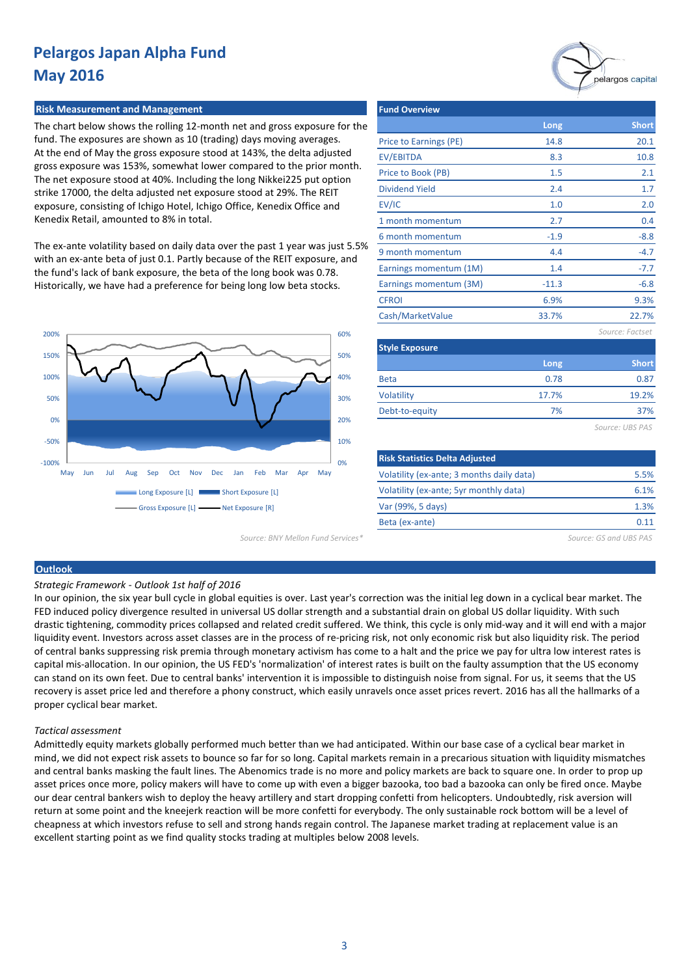#### **Risk Measurement and Management Fund Overview Fund Overview**

The chart below shows the rolling 12-month net and gross exposure for the fund. The exposures are shown as 10 (trading) days moving averages. At the end of May the gross exposure stood at 143%, the delta adjusted gross exposure was 153%, somewhat lower compared to the prior month. The net exposure stood at 40%. Including the long Nikkei225 put option strike 17000, the delta adjusted net exposure stood at 29%. The REIT exposure, consisting of Ichigo Hotel, Ichigo Office, Kenedix Office and Kenedix Retail, amounted to 8% in total.

The ex-ante volatility based on daily data over the past 1 year was just 5.5% with an ex-ante beta of just 0.1. Partly because of the REIT exposure, and the fund's lack of bank exposure, the beta of the long book was 0.78. Historically, we have had a preference for being long low beta stocks.



Price to Earnings (PE) EV/EBITDA Price to Book (PB) Dividend Yield EV/IC 1 month momentum 6 month momentum 9 month momentum Earnings momentum (1M) Earnings momentum (3M) **CFROI** Cash/MarketValue *Source: Factset* **Style Exposure** Beta Volatility Debt-to-equity *Source: UBS PAS* 1.0 2.7 **Long** 14.8 4.4 **Long** -11.3 8.3 1.4 1.5 2.4 7% 17.7% 0.78 0.87 19.2% 37% -1.9 2.0 0.4 -8.8  $-4.7$ -7.7 **Short** 20.1 1.7 10.8 2.1 **Short** -6.8 6.9% 9.3% 33.7% 22.7%

| <b>Risk Statistics Delta Adjusted</b>     |      |
|-------------------------------------------|------|
| Volatility (ex-ante; 3 months daily data) | 5.5% |
| Volatility (ex-ante; 5yr monthly data)    | 6.1% |
| Var (99%, 5 days)                         | 1.3% |
| Beta (ex-ante)                            |      |
|                                           |      |

*Source: BNY Mellon Fund Services\* Source: GS and UBS PAS*

#### **Outlook**

*Strategic Framework - Outlook 1st half of 2016* 

In our opinion, the six year bull cycle in global equities is over. Last year's correction was the initial leg down in a cyclical bear market. The FED induced policy divergence resulted in universal US dollar strength and a substantial drain on global US dollar liquidity. With such drastic tightening, commodity prices collapsed and related credit suffered. We think, this cycle is only mid-way and it will end with a major liquidity event. Investors across asset classes are in the process of re-pricing risk, not only economic risk but also liquidity risk. The period of central banks suppressing risk premia through monetary activism has come to a halt and the price we pay for ultra low interest rates is capital mis-allocation. In our opinion, the US FED's 'normalization' of interest rates is built on the faulty assumption that the US economy can stand on its own feet. Due to central banks' intervention it is impossible to distinguish noise from signal. For us, it seems that the US recovery is asset price led and therefore a phony construct, which easily unravels once asset prices revert. 2016 has all the hallmarks of a proper cyclical bear market.

#### *Tactical assessment*

Admittedly equity markets globally performed much better than we had anticipated. Within our base case of a cyclical bear market in mind, we did not expect risk assets to bounce so far for so long. Capital markets remain in a precarious situation with liquidity mismatches and central banks masking the fault lines. The Abenomics trade is no more and policy markets are back to square one. In order to prop up asset prices once more, policy makers will have to come up with even a bigger bazooka, too bad a bazooka can only be fired once. Maybe our dear central bankers wish to deploy the heavy artillery and start dropping confetti from helicopters. Undoubtedly, risk aversion will return at some point and the kneejerk reaction will be more confetti for everybody. The only sustainable rock bottom will be a level of cheapness at which investors refuse to sell and strong hands regain control. The Japanese market trading at replacement value is an excellent starting point as we find quality stocks trading at multiples below 2008 levels.

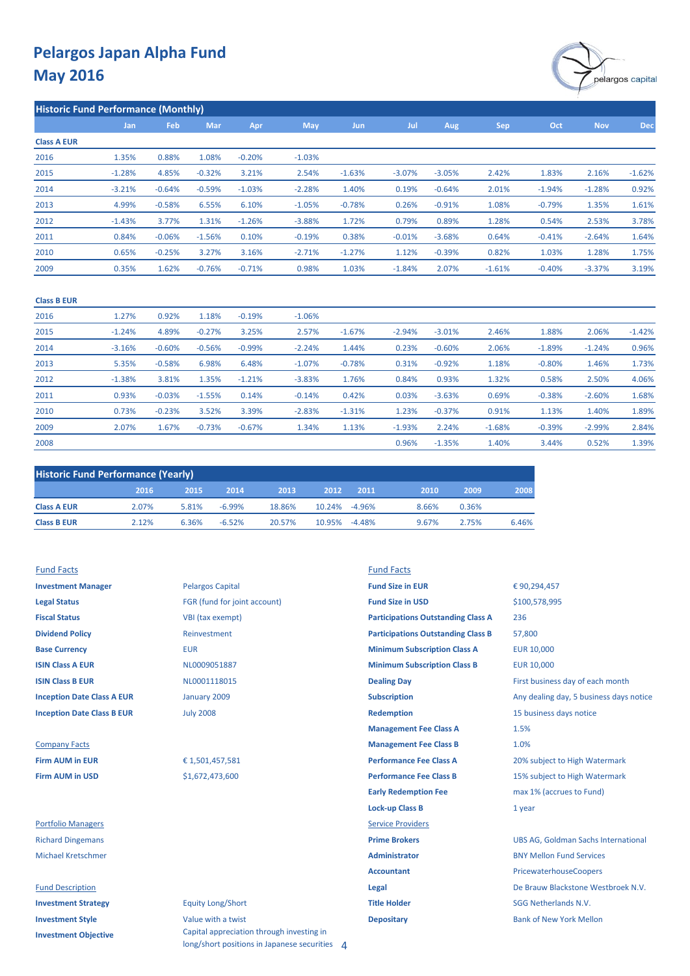

**Historic Fund Performance (Monthly)**

|                    | Jan      | Feb      | Mar      | Apr      | <b>May</b> | Jun      | Jul      | Aug      | Sep      | Oct      | <b>Nov</b> | Dec      |
|--------------------|----------|----------|----------|----------|------------|----------|----------|----------|----------|----------|------------|----------|
| <b>Class A EUR</b> |          |          |          |          |            |          |          |          |          |          |            |          |
| 2016               | 1.35%    | 0.88%    | 1.08%    | $-0.20%$ | $-1.03%$   |          |          |          |          |          |            |          |
| 2015               | $-1.28%$ | 4.85%    | $-0.32%$ | 3.21%    | 2.54%      | $-1.63%$ | $-3.07%$ | $-3.05%$ | 2.42%    | 1.83%    | 2.16%      | $-1.62%$ |
| 2014               | $-3.21%$ | $-0.64%$ | $-0.59%$ | $-1.03%$ | $-2.28%$   | 1.40%    | 0.19%    | $-0.64%$ | 2.01%    | $-1.94%$ | $-1.28%$   | 0.92%    |
| 2013               | 4.99%    | $-0.58%$ | 6.55%    | 6.10%    | $-1.05%$   | $-0.78%$ | 0.26%    | $-0.91%$ | 1.08%    | $-0.79%$ | 1.35%      | 1.61%    |
| 2012               | $-1.43%$ | 3.77%    | 1.31%    | $-1.26%$ | $-3.88%$   | 1.72%    | 0.79%    | 0.89%    | 1.28%    | 0.54%    | 2.53%      | 3.78%    |
| 2011               | 0.84%    | $-0.06%$ | $-1.56%$ | 0.10%    | $-0.19%$   | 0.38%    | $-0.01%$ | $-3.68%$ | 0.64%    | $-0.41%$ | $-2.64%$   | 1.64%    |
| 2010               | 0.65%    | $-0.25%$ | 3.27%    | 3.16%    | $-2.71%$   | $-1.27%$ | 1.12%    | $-0.39%$ | 0.82%    | 1.03%    | 1.28%      | 1.75%    |
| 2009               | 0.35%    | 1.62%    | $-0.76%$ | $-0.71%$ | 0.98%      | 1.03%    | $-1.84%$ | 2.07%    | $-1.61%$ | $-0.40%$ | $-3.37%$   | 3.19%    |

#### **Class B EUR**

| 2016 | 1.27%    | 0.92%    | 1.18%    | $-0.19%$ | $-1.06%$ |          |          |          |          |          |          |          |
|------|----------|----------|----------|----------|----------|----------|----------|----------|----------|----------|----------|----------|
| 2015 | $-1.24%$ | 4.89%    | $-0.27%$ | 3.25%    | 2.57%    | $-1.67%$ | $-2.94%$ | $-3.01%$ | 2.46%    | 1.88%    | 2.06%    | $-1.42%$ |
| 2014 | $-3.16%$ | $-0.60%$ | $-0.56%$ | $-0.99%$ | $-2.24%$ | 1.44%    | 0.23%    | $-0.60%$ | 2.06%    | $-1.89%$ | $-1.24%$ | 0.96%    |
| 2013 | 5.35%    | $-0.58%$ | 6.98%    | 6.48%    | $-1.07%$ | $-0.78%$ | 0.31%    | $-0.92%$ | 1.18%    | $-0.80%$ | 1.46%    | 1.73%    |
| 2012 | $-1.38%$ | 3.81%    | 1.35%    | $-1.21%$ | $-3.83%$ | 1.76%    | 0.84%    | 0.93%    | 1.32%    | 0.58%    | 2.50%    | 4.06%    |
| 2011 | 0.93%    | $-0.03%$ | $-1.55%$ | 0.14%    | $-0.14%$ | 0.42%    | 0.03%    | $-3.63%$ | 0.69%    | $-0.38%$ | $-2.60%$ | 1.68%    |
| 2010 | 0.73%    | $-0.23%$ | 3.52%    | 3.39%    | $-2.83%$ | $-1.31%$ | 1.23%    | $-0.37%$ | 0.91%    | 1.13%    | 1.40%    | 1.89%    |
| 2009 | 2.07%    | 1.67%    | $-0.73%$ | $-0.67%$ | 1.34%    | 1.13%    | $-1.93%$ | 2.24%    | $-1.68%$ | $-0.39%$ | $-2.99%$ | 2.84%    |
| 2008 |          |          |          |          |          |          | 0.96%    | $-1.35%$ | 1.40%    | 3.44%    | 0.52%    | 1.39%    |

| <b>Historic Fund Performance (Yearly)</b> |       |       |           |        |               |      |       |       |       |  |
|-------------------------------------------|-------|-------|-----------|--------|---------------|------|-------|-------|-------|--|
|                                           | 2016  | 2015  | 2014      | 2013   | 2012          | 2011 | 2010  | 2009  | 2008  |  |
| <b>Class A EUR</b>                        | 2.07% | 5.81% | $-6.99\%$ | 18.86% | 10.24% -4.96% |      | 8.66% | 0.36% |       |  |
| <b>Class B EUR</b>                        | 2.12% | 6.36% | $-6.52%$  | 20.57% | 10.95% -4.48% |      | 9.67% | 2.75% | 6.46% |  |

| <b>Investment Manager</b>         |
|-----------------------------------|
| <b>Legal Status</b>               |
| <b>Fiscal Status</b>              |
| <b>Dividend Policy</b>            |
| <b>Base Currency</b>              |
| <b>ISIN Class A EUR</b>           |
| <b>ISIN Class B EUR</b>           |
| <b>Inception Date Class A EUR</b> |
| <b>Inception Date Class B EUR</b> |

### **Company Facts Firm AUM in EUR Performance Fee Class A** 20% subject to High Waterman B **Firm AUM in USD**

#### **Fund Description**

| <b>Investment Strategy</b>  |
|-----------------------------|
| <b>Investment Style</b>     |
| <b>Investment Objective</b> |

# **Investment Manager Capital Size in EURR Size in EURR Size in EURR Size in EURR Size in EURR Size in EURR Size in EURR FGR (fund for joint account) VBI** (tax exempt) **Dividend Policy** Reinvestment January 2009

#### **Equity Long/Short Investment Style Value with a twist <b>Depositary Depositary** Bank of New York Mellon Capital appreciation through investing in long/short positions in Japanese securities 4

## Fund Facts Fund Facts

| <b>Investment Manager</b>         | <b>Pelargos Capital</b>      | <b>Fund Size in EUR</b>                   | €90,294,457                                |
|-----------------------------------|------------------------------|-------------------------------------------|--------------------------------------------|
| <b>Legal Status</b>               | FGR (fund for joint account) | <b>Fund Size in USD</b>                   | \$100,578,995                              |
| <b>Fiscal Status</b>              | VBI (tax exempt)             | <b>Participations Outstanding Class A</b> | 236                                        |
| <b>Dividend Policy</b>            | Reinvestment                 | <b>Participations Outstanding Class B</b> | 57,800                                     |
| <b>Base Currency</b>              | <b>EUR</b>                   | <b>Minimum Subscription Class A</b>       | <b>EUR 10,000</b>                          |
| <b>ISIN Class A EUR</b>           | NL0009051887                 | <b>Minimum Subscription Class B</b>       | <b>EUR 10,000</b>                          |
| <b>ISIN Class B EUR</b>           | NL0001118015                 | <b>Dealing Day</b>                        | First business day of each month           |
| <b>Inception Date Class A EUR</b> | January 2009                 | <b>Subscription</b>                       | Any dealing day, 5 business days notice    |
| <b>Inception Date Class B EUR</b> | <b>July 2008</b>             | <b>Redemption</b>                         | 15 business days notice                    |
|                                   |                              | <b>Management Fee Class A</b>             | 1.5%                                       |
| <b>Company Facts</b>              |                              | <b>Management Fee Class B</b>             | 1.0%                                       |
| <b>Firm AUM in EUR</b>            | €1,501,457,581               | <b>Performance Fee Class A</b>            | 20% subject to High Watermark              |
| <b>Firm AUM in USD</b>            | \$1,672,473,600              | <b>Performance Fee Class B</b>            | 15% subject to High Watermark              |
|                                   |                              | <b>Early Redemption Fee</b>               | max 1% (accrues to Fund)                   |
|                                   |                              | <b>Lock-up Class B</b>                    | 1 year                                     |
| <b>Portfolio Managers</b>         |                              | <b>Service Providers</b>                  |                                            |
| <b>Richard Dingemans</b>          |                              | <b>Prime Brokers</b>                      | <b>UBS AG, Goldman Sachs International</b> |
| <b>Michael Kretschmer</b>         |                              | <b>Administrator</b>                      | <b>BNY Mellon Fund Services</b>            |
|                                   |                              | <b>Accountant</b>                         | PricewaterhouseCoopers                     |
| <b>Fund Description</b>           |                              | Legal                                     | De Brauw Blackstone Westbroek N.V.         |
| <b>Investment Strategy</b>        | <b>Equity Long/Short</b>     | <b>Title Holder</b>                       | <b>SGG Netherlands N.V.</b>                |
|                                   |                              |                                           |                                            |